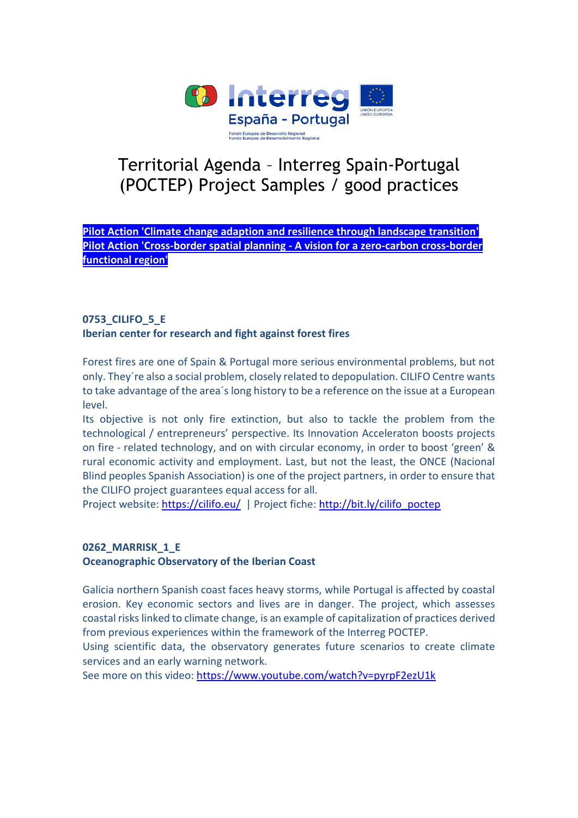

# Territorial Agenda – Interreg Spain-Portugal (POCTEP) Project Samples / good practices

**Pilot Action 'Climate change adaption and resilience through landscape transition' Pilot Action 'Cross-border spatial planning - A vision for a zero-carbon cross-border functional region'**

# **0753\_CILIFO\_5\_E Iberian center for research and fight against forest fires**

Forest fires are one of Spain & Portugal more serious environmental problems, but not only. They´re also a social problem, closely related to depopulation. CILIFO Centre wants to take advantage of the area´s long history to be a reference on the issue at a European level.

Its objective is not only fire extinction, but also to tackle the problem from the technological / entrepreneurs' perspective. Its Innovation Acceleraton boosts projects on fire - related technology, and on with circular economy, in order to boost 'green' & rural economic activity and employment. Last, but not the least, the ONCE (Nacional Blind peoples Spanish Association) is one of the project partners, in order to ensure that the CILIFO project guarantees equal access for all.

Project website:<https://cilifo.eu/>| Project fiche: [http://bit.ly/cilifo\\_poctep](http://bit.ly/cilifo_poctep)

# **0262\_MARRISK\_1\_E**

**Oceanographic Observatory of the Iberian Coast** 

Galicia northern Spanish coast faces heavy storms, while Portugal is affected by coastal erosion. Key economic sectors and lives are in danger. The project, which assesses coastal risks linked to climate change, is an example of capitalization of practices derived from previous experiences within the framework of the Interreg POCTEP.

Using scientific data, the observatory generates future scenarios to create climate services and an early warning network.

See more on this video:<https://www.youtube.com/watch?v=pyrpF2ezU1k>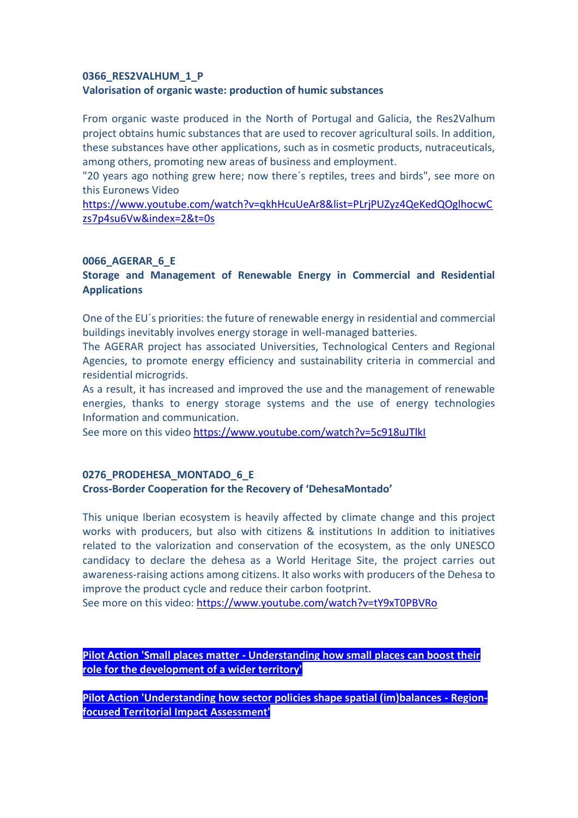#### **0366\_RES2VALHUM\_1\_P Valorisation of organic waste: production of humic substances**

From organic waste produced in the North of Portugal and Galicia, the Res2Valhum project obtains humic substances that are used to recover agricultural soils. In addition, these substances have other applications, such as in cosmetic products, nutraceuticals, among others, promoting new areas of business and employment.

"20 years ago nothing grew here; now there´s reptiles, trees and birds", see more on this Euronews Video

[https://www.youtube.com/watch?v=qkhHcuUeAr8&list=PLrjPUZyz4QeKedQOglhocwC](https://www.youtube.com/watch?v=qkhHcuUeAr8&list=PLrjPUZyz4QeKedQOglhocwCzs7p4su6Vw&index=2&t=0s) [zs7p4su6Vw&index=2&t=0s](https://www.youtube.com/watch?v=qkhHcuUeAr8&list=PLrjPUZyz4QeKedQOglhocwCzs7p4su6Vw&index=2&t=0s)

#### **0066\_AGERAR\_6\_E**

### **Storage and Management of Renewable Energy in Commercial and Residential Applications**

One of the EU´s priorities: the future of renewable energy in residential and commercial buildings inevitably involves energy storage in well-managed batteries.

The AGERAR project has associated Universities, Technological Centers and Regional Agencies, to promote energy efficiency and sustainability criteria in commercial and residential microgrids.

As a result, it has increased and improved the use and the management of renewable energies, thanks to energy storage systems and the use of energy technologies Information and communication.

See more on this video<https://www.youtube.com/watch?v=5c918uJTlkI>

#### **0276\_PRODEHESA\_MONTADO\_6\_E**

#### **Cross-Border Cooperation for the Recovery of 'DehesaMontado'**

This unique Iberian ecosystem is heavily affected by climate change and this project works with producers, but also with citizens & institutions In addition to initiatives related to the valorization and conservation of the ecosystem, as the only UNESCO candidacy to declare the dehesa as a World Heritage Site, the project carries out awareness-raising actions among citizens. It also works with producers of the Dehesa to improve the product cycle and reduce their carbon footprint.

See more on this video:<https://www.youtube.com/watch?v=tY9xT0PBVRo>

**Pilot Action 'Small places matter - Understanding how small places can boost their role for the development of a wider territory'**

**Pilot Action 'Understanding how sector policies shape spatial (im)balances - Regionfocused Territorial Impact Assessment'**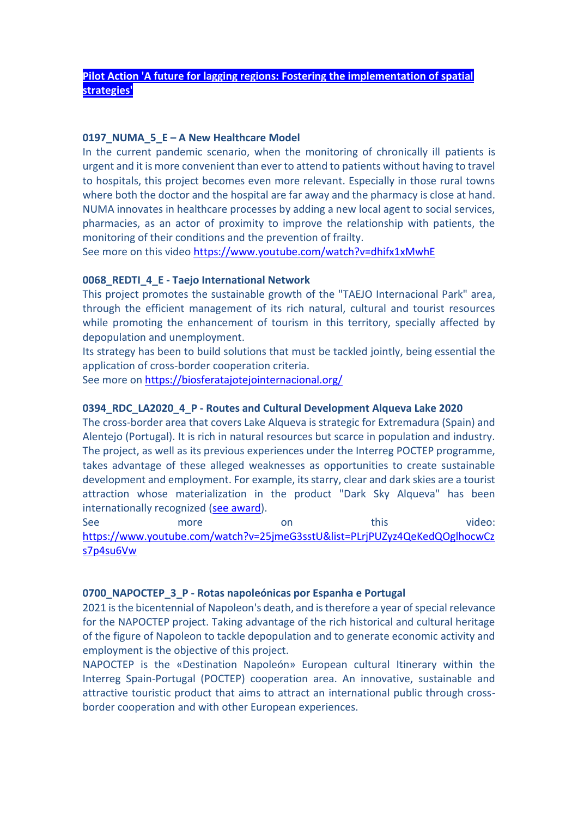#### **Pilot Action 'A future for lagging regions: Fostering the implementation of spatial strategies'**

#### **0197\_NUMA\_5\_E – A New Healthcare Model**

In the current pandemic scenario, when the monitoring of chronically ill patients is urgent and it is more convenient than ever to attend to patients without having to travel to hospitals, this project becomes even more relevant. Especially in those rural towns where both the doctor and the hospital are far away and the pharmacy is close at hand. NUMA innovates in healthcare processes by adding a new local agent to social services, pharmacies, as an actor of proximity to improve the relationship with patients, the monitoring of their conditions and the prevention of frailty.

See more on this video<https://www.youtube.com/watch?v=dhifx1xMwhE>

#### **0068\_REDTI\_4\_E - Taejo International Network**

This project promotes the sustainable growth of the "TAEJO Internacional Park" area, through the efficient management of its rich natural, cultural and tourist resources while promoting the enhancement of tourism in this territory, specially affected by depopulation and unemployment.

Its strategy has been to build solutions that must be tackled jointly, being essential the application of cross-border cooperation criteria.

See more on<https://biosferatajotejointernacional.org/>

#### **0394\_RDC\_LA2020\_4\_P - Routes and Cultural Development Alqueva Lake 2020**

The cross-border area that covers Lake Alqueva is strategic for Extremadura (Spain) and Alentejo (Portugal). It is rich in natural resources but scarce in population and industry. The project, as well as its previous experiences under the Interreg POCTEP programme, takes advantage of these alleged weaknesses as opportunities to create sustainable development and employment. For example, its starry, clear and dark skies are a tourist attraction whose materialization in the product "Dark Sky Alqueva" has been internationally recognized [\(see award\)](https://www.worldtravelawards.com/profile-37357-dark-sky-alqueva).

See more on this video: [https://www.youtube.com/watch?v=25jmeG3sstU&list=PLrjPUZyz4QeKedQOglhocwCz](https://www.youtube.com/watch?v=25jmeG3sstU&list=PLrjPUZyz4QeKedQOglhocwCzs7p4su6Vw) [s7p4su6Vw](https://www.youtube.com/watch?v=25jmeG3sstU&list=PLrjPUZyz4QeKedQOglhocwCzs7p4su6Vw)

#### **0700\_NAPOCTEP\_3\_P - Rotas napoleónicas por Espanha e Portugal**

2021 is the bicentennial of Napoleon's death, and is therefore a year of special relevance for the NAPOCTEP project. Taking advantage of the rich historical and cultural heritage of the figure of Napoleon to tackle depopulation and to generate economic activity and employment is the objective of this project.

NAPOCTEP is the «Destination Napoleón» European cultural Itinerary within the Interreg Spain-Portugal (POCTEP) cooperation area. An innovative, sustainable and attractive touristic product that aims to attract an international public through crossborder cooperation and with other European experiences.